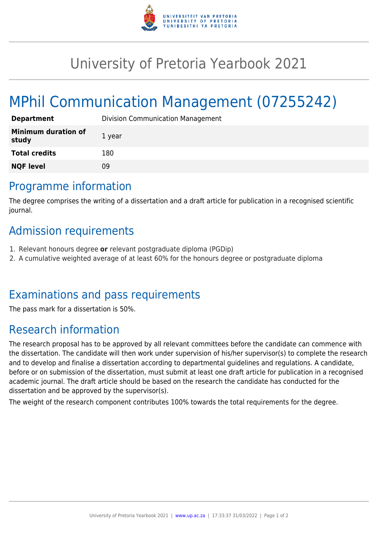

## University of Pretoria Yearbook 2021

# MPhil Communication Management (07255242)

| <b>Department</b>                   | <b>Division Communication Management</b> |
|-------------------------------------|------------------------------------------|
| <b>Minimum duration of</b><br>study | 1 year                                   |
| <b>Total credits</b>                | 180                                      |
| <b>NQF level</b>                    | 09                                       |

#### Programme information

The degree comprises the writing of a dissertation and a draft article for publication in a recognised scientific journal.

#### Admission requirements

- 1. Relevant honours degree **or** relevant postgraduate diploma (PGDip)
- 2. A cumulative weighted average of at least 60% for the honours degree or postgraduate diploma

#### Examinations and pass requirements

The pass mark for a dissertation is 50%.

### Research information

The research proposal has to be approved by all relevant committees before the candidate can commence with the dissertation. The candidate will then work under supervision of his/her supervisor(s) to complete the research and to develop and finalise a dissertation according to departmental guidelines and regulations. A candidate, before or on submission of the dissertation, must submit at least one draft article for publication in a recognised academic journal. The draft article should be based on the research the candidate has conducted for the dissertation and be approved by the supervisor(s).

The weight of the research component contributes 100% towards the total requirements for the degree.